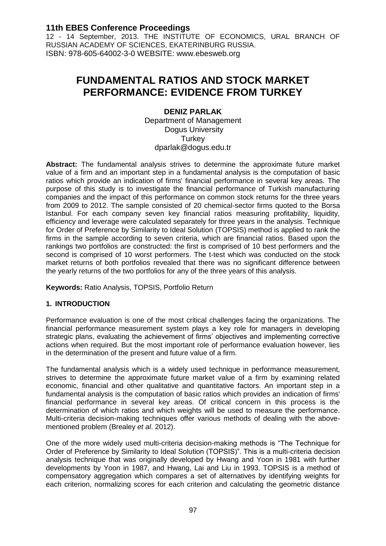12 - 14 September, 2013. THE INSTITUTE OF ECONOMICS, URAL BRANCH OF RUSSIAN ACADEMY OF SCIENCES, EKATERINBURG RUSSIA. ISBN: 978-605-64002-3-0 WEBSITE: www.ebesweb.org

# **FUNDAMENTAL RATIOS AND STOCK MARKET PERFORMANCE: EVIDENCE FROM TURKEY**

## **DENIZ PARLAK**

Department of Management Dogus University **Turkey** dparlak@dogus.edu.tr

**Abstract:** The fundamental analysis strives to determine the approximate future market value of a firm and an important step in a fundamental analysis is the computation of basic ratios which provide an indication of firms' financial performance in several key areas. The purpose of this study is to investigate the financial performance of Turkish manufacturing companies and the impact of this performance on common stock returns for the three years from 2009 to 2012. The sample consisted of 20 chemical-sector firms quoted to the Borsa Istanbul. For each company seven key financial ratios measuring profitability, liquidity, efficiency and leverage were calculated separately for three years in the analysis. Technique for Order of Preference by Similarity to Ideal Solution (TOPSIS) method is applied to rank the firms in the sample according to seven criteria, which are financial ratios. Based upon the rankings two portfolios are constructed: the first is comprised of 10 best performers and the second is comprised of 10 worst performers. The t-test which was conducted on the stock market returns of both portfolios revealed that there was no significant difference between the yearly returns of the two portfolios for any of the three years of this analysis.

**Keywords:** Ratio Analysis, TOPSIS, Portfolio Return

## **1. INTRODUCTION**

Performance evaluation is one of the most critical challenges facing the organizations. The financial performance measurement system plays a key role for managers in developing strategic plans, evaluating the achievement of firms' objectives and implementing corrective actions when required. But the most important role of performance evaluation however, lies in the determination of the present and future value of a firm.

The fundamental analysis which is a widely used technique in performance measurement, strives to determine the approximate future market value of a firm by examining related economic, financial and other qualitative and quantitative factors. An important step in a fundamental analysis is the computation of basic ratios which provides an indication of firms' financial performance in several key areas. Of critical concern in this process is the determination of which ratios and which weights will be used to measure the performance. Multi-criteria decision-making techniques offer various methods of dealing with the abovementioned problem (Brealey *et al*. 2012).

One of the more widely used multi-criteria decision-making methods is "The Technique for Order of Preference by Similarity to Ideal Solution (TOPSIS)". This is a multi-criteria decision analysis technique that was originally developed by Hwang and Yoon in 1981 with further developments by Yoon in 1987, and Hwang, Lai and Liu in 1993. TOPSIS is a method of compensatory aggregation which compares a set of alternatives by identifying weights for each criterion, normalizing scores for each criterion and calculating the geometric distance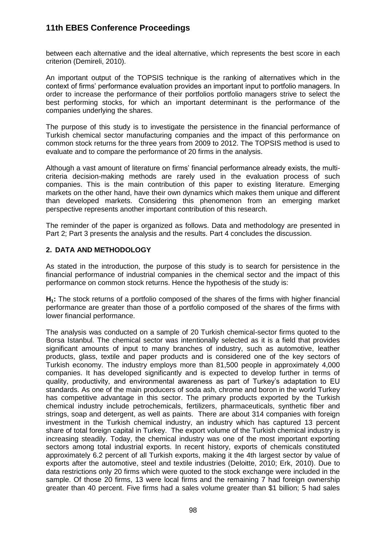between each alternative and the ideal alternative, which represents the best score in each criterion (Demireli, 2010).

An important output of the TOPSIS technique is the ranking of alternatives which in the context of firms' performance evaluation provides an important input to portfolio managers. In order to increase the performance of their portfolios portfolio managers strive to select the best performing stocks, for which an important determinant is the performance of the companies underlying the shares.

The purpose of this study is to investigate the persistence in the financial performance of Turkish chemical sector manufacturing companies and the impact of this performance on common stock returns for the three years from 2009 to 2012. The TOPSIS method is used to evaluate and to compare the performance of 20 firms in the analysis.

Although a vast amount of literature on firms' financial performance already exists, the multicriteria decision-making methods are rarely used in the evaluation process of such companies. This is the main contribution of this paper to existing literature. Emerging markets on the other hand, have their own dynamics which makes them unique and different than developed markets. Considering this phenomenon from an emerging market perspective represents another important contribution of this research.

The reminder of the paper is organized as follows. Data and methodology are presented in Part 2; Part 3 presents the analysis and the results. Part 4 concludes the discussion.

## **2. DATA AND METHODOLOGY**

As stated in the introduction, the purpose of this study is to search for persistence in the financial performance of industrial companies in the chemical sector and the impact of this performance on common stock returns. Hence the hypothesis of the study is:

**H1:** The stock returns of a portfolio composed of the shares of the firms with higher financial performance are greater than those of a portfolio composed of the shares of the firms with lower financial performance.

The analysis was conducted on a sample of 20 Turkish chemical-sector firms quoted to the Borsa Istanbul. The chemical sector was intentionally selected as it is a field that provides significant amounts of input to many branches of industry, such as automotive, leather products, glass, textile and paper products and is considered one of the key sectors of Turkish economy. The industry employs more than 81,500 people in approximately 4,000 companies. It has developed significantly and is expected to develop further in terms of quality, productivity, and environmental awareness as part of Turkey's adaptation to EU standards. As one of the main producers of soda ash, chrome and boron in the world Turkey has competitive advantage in this sector. The primary products exported by the Turkish chemical industry include petrochemicals, fertilizers, pharmaceuticals, synthetic fiber and strings, soap and detergent, as well as paints. There are about 314 companies with foreign investment in the Turkish chemical industry, an industry which has captured 13 percent share of total foreign capital in Turkey. The export volume of the Turkish chemical industry is increasing steadily. Today, the chemical industry was one of the most important exporting sectors among total industrial exports. In recent history, exports of chemicals constituted approximately 6.2 percent of all Turkish exports, making it the 4th largest sector by value of exports after the automotive, steel and textile industries (Deloitte, 2010; Erk, 2010). Due to data restrictions only 20 firms which were quoted to the stock exchange were included in the sample. Of those 20 firms, 13 were local firms and the remaining 7 had foreign ownership greater than 40 percent. Five firms had a sales volume greater than \$1 billion; 5 had sales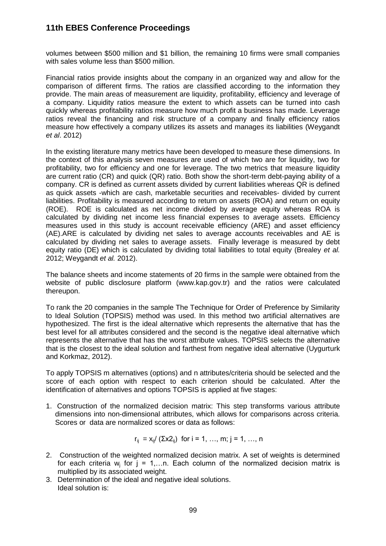volumes between \$500 million and \$1 billion, the remaining 10 firms were small companies with sales volume less than \$500 million.

Financial ratios provide insights about the company in an organized way and allow for the comparison of different firms. The ratios are classified according to the information they provide. The main areas of measurement are liquidity, profitability, efficiency and leverage of a company. Liquidity ratios measure the extent to which assets can be turned into cash quickly whereas profitability ratios measure how much profit a business has made. Leverage ratios reveal the financing and risk structure of a company and finally efficiency ratios measure how effectively a company utilizes its assets and manages its liabilities (Weygandt *et al*. 2012)

In the existing literature many metrics have been developed to measure these dimensions. In the context of this analysis seven measures are used of which two are for liquidity, two for profitability, two for efficiency and one for leverage. The two metrics that measure liquidity are current ratio (CR) and quick (QR) ratio. Both show the short-term debt-paying ability of a company. CR is defined as current assets divided by current liabilities whereas QR is defined as quick assets -which are cash, marketable securities and receivables- divided by current liabilities. Profitability is measured according to return on assets (ROA) and return on equity (ROE). ROE is calculated as net income divided by average equity whereas ROA is calculated by dividing net income less financial expenses to average assets. Efficiency measures used in this study is account receivable efficiency (ARE) and asset efficiency (AE).ARE is calculated by dividing net sales to average accounts receivables and AE is calculated by dividing net sales to average assets. Finally leverage is measured by debt equity ratio (DE) which is calculated by dividing total liabilities to total equity (Brealey *et al.* 2012; Weygandt *et al.* 2012).

The balance sheets and income statements of 20 firms in the sample were obtained from the website of public disclosure platform (www.kap.gov.tr) and the ratios were calculated thereupon.

To rank the 20 companies in the sample The Technique for Order of Preference by Similarity to Ideal Solution (TOPSIS) method was used. In this method two artificial alternatives are hypothesized. The first is the ideal alternative which represents the alternative that has the best level for all attributes considered and the second is the negative ideal alternative which represents the alternative that has the worst attribute values. TOPSIS selects the alternative that is the closest to the ideal solution and farthest from negative ideal alternative (Uygurturk and Korkmaz, 2012).

To apply TOPSIS m alternatives (options) and n attributes/criteria should be selected and the score of each option with respect to each criterion should be calculated. After the identification of alternatives and options TOPSIS is applied at five stages:

1. Construction of the normalized decision matrix: This step transforms various attribute dimensions into non-dimensional attributes, which allows for comparisons across criteria. Scores or data are normalized scores or data as follows:

$$
r_{ij} = x_{ij} / (\Sigma x 2_{ij})
$$
 for  $i = 1, ..., m$ ;  $j = 1, ..., n$ 

- 2. Construction of the weighted normalized decision matrix. A set of weights is determined for each criteria  $w_j$  for  $j = 1,...n$ . Each column of the normalized decision matrix is multiplied by its associated weight.
- 3. Determination of the ideal and negative ideal solutions. Ideal solution is: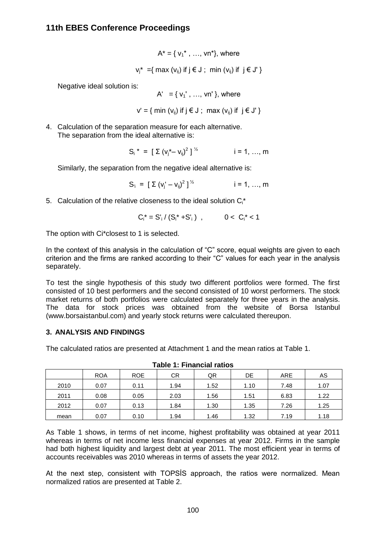$$
A^* = \{ v_1^*, \dots, vn^*\}, \text{ where}
$$
  

$$
v_j^* = \{ \max(v_{ij}) \text{ if } j \in J; \min(v_{ij}) \text{ if } j \in J^* \}
$$

Negative ideal solution is:

 $A' = \{v_1', ..., v_n'\}$ , where

 $v' = \{ min (v_{ii}) \text{ if } j \in J ; max (v_{ii}) \text{ if } j \in J' \}$ 

4. Calculation of the separation measure for each alternative. The separation from the ideal alternative is:

$$
S_i^* = [\Sigma (v_j^* - v_{ij})^2]^{\frac{1}{2}}
$$
 i = 1, ..., m

Similarly, the separation from the negative ideal alternative is:

 $S_i = [\Sigma (v_j' - v_{ij})^2]^{V_2}$  $i = 1, ..., m$ 

5. Calculation of the relative closeness to the ideal solution  $C_i^*$ 

$$
C_i^* = S'_i / (S_i^* + S'_i) , \qquad 0 < C_i^* < 1
$$

The option with Ci\*closest to 1 is selected.

In the context of this analysis in the calculation of "C" score, equal weights are given to each criterion and the firms are ranked according to their "C" values for each year in the analysis separately.

To test the single hypothesis of this study two different portfolios were formed. The first consisted of 10 best performers and the second consisted of 10 worst performers. The stock market returns of both portfolios were calculated separately for three years in the analysis. The data for stock prices was obtained from the website of Borsa Istanbul (www.borsaistanbul.com) and yearly stock returns were calculated thereupon.

## **3. ANALYSIS AND FINDINGS**

The calculated ratios are presented at Attachment 1 and the mean ratios at Table 1.

|      | <b>ROA</b> | <b>ROE</b> |      | <b>CR</b><br>QR<br>DE |      |      |      |  | AS |
|------|------------|------------|------|-----------------------|------|------|------|--|----|
| 2010 | 0.07       | 0.11       | 1.94 | 1.52                  | 1.10 | 7.48 | 1.07 |  |    |
| 2011 | 0.08       | 0.05       | 2.03 | 1.56                  | 1.51 | 6.83 | 1.22 |  |    |
| 2012 | 0.07       | 0.13       | 1.84 | 1.30                  | 1.35 |      | 1.25 |  |    |
| mean | 0.07       | 0.10       | 1.94 | 1.46                  | 1.32 | 7.19 | 1.18 |  |    |

**Table 1: Financial ratios**

As Table 1 shows, in terms of net income, highest profitability was obtained at year 2011 whereas in terms of net income less financial expenses at year 2012. Firms in the sample had both highest liquidity and largest debt at year 2011. The most efficient year in terms of accounts receivables was 2010 whereas in terms of assets the year 2012.

At the next step, consistent with TOPSİS approach, the ratios were normalized. Mean normalized ratios are presented at Table 2.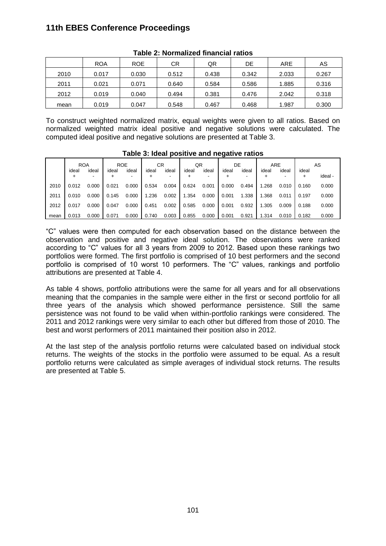|      | <b>ROA</b> | <b>ROE</b> | CR    | QR    | DE    | ARE   | AS    |
|------|------------|------------|-------|-------|-------|-------|-------|
| 2010 | 0.017      | 0.030      | 0.512 | 0.438 | 0.342 | 2.033 | 0.267 |
| 2011 | 0.021      | 0.071      | 0.640 | 0.584 | 0.586 | 1.885 | 0.316 |
| 2012 | 0.019      | 0.040      | 0.494 | 0.381 | 0.476 | 2.042 | 0.318 |
| mean | 0.019      | 0.047      | 0.548 | 0.467 | 0.468 | 1.987 | 0.300 |

#### **Table 2: Normalized financial ratios**

To construct weighted normalized matrix, equal weights were given to all ratios. Based on normalized weighted matrix ideal positive and negative solutions were calculated. The computed ideal positive and negative solutions are presented at Table 3.

|      |            |            |            |       |       |                 |            |            | - 9- - - - |       |       |       |            |         |
|------|------------|------------|------------|-------|-------|-----------------|------------|------------|------------|-------|-------|-------|------------|---------|
|      | <b>ROA</b> |            | <b>ROE</b> |       |       | CR.<br>QR<br>DE |            | <b>ARE</b> |            | AS    |       |       |            |         |
|      | ideal<br>+ | ideal<br>۰ | ideal      | ideal | ideal | ideal           | ideal<br>+ | ideal<br>- | ideal      | ideal | ideal | ideal | ideal<br>÷ | ideal - |
| 2010 | 0.012      | 0.000      | 0.021      | 0.000 | 0.534 | 0.004           | 0.624      | 0.001      | 0.000      | 0.494 | 1.268 | 0.010 | 0.160      | 0.000   |
| 2011 | 0.010      | 0.000      | 0.145      | 0.000 | 1.236 | 0.002           | 1.354      | 0.000      | 0.001      | 1.338 | 1.368 | 0.011 | 0.197      | 0.000   |
| 2012 | 0.017      | 0.000      | 0.047      | 0.000 | 0.451 | 0.002           | 0.585      | 0.000      | 0.001      | 0.932 | 1.305 | 0.009 | 0.188      | 0.000   |
| mean | 0.013      | 0.000      | 0.071      | 0.000 | 0.740 | 0.003           | 0.855      | 0.000      | 0.001      | 0.921 | 1.314 | 0.010 | 0.182      | 0.000   |

#### **Table 3: Ideal positive and negative ratios**

"C" values were then computed for each observation based on the distance between the observation and positive and negative ideal solution. The observations were ranked according to "C" values for all 3 years from 2009 to 2012. Based upon these rankings two portfolios were formed. The first portfolio is comprised of 10 best performers and the second portfolio is comprised of 10 worst 10 performers. The "C" values, rankings and portfolio attributions are presented at Table 4.

As table 4 shows, portfolio attributions were the same for all years and for all observations meaning that the companies in the sample were either in the first or second portfolio for all three years of the analysis which showed performance persistence. Still the same persistence was not found to be valid when within-portfolio rankings were considered. The 2011 and 2012 rankings were very similar to each other but differed from those of 2010. The best and worst performers of 2011 maintained their position also in 2012.

At the last step of the analysis portfolio returns were calculated based on individual stock returns. The weights of the stocks in the portfolio were assumed to be equal. As a result portfolio returns were calculated as simple averages of individual stock returns. The results are presented at Table 5.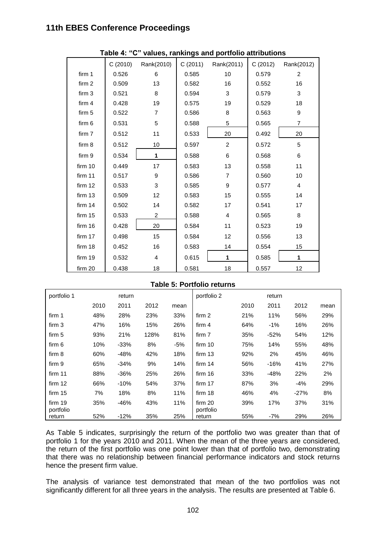|                   | C(2010) | Rank(2010)     |       | C (2011) Rank(2011) | C(2012) | Rank(2012)     |  |  |
|-------------------|---------|----------------|-------|---------------------|---------|----------------|--|--|
| firm 1            | 0.526   | 6              | 0.585 | 10                  | 0.579   | $\overline{2}$ |  |  |
| firm 2            | 0.509   | 13             | 0.582 | 16                  | 0.552   | 16             |  |  |
| firm <sub>3</sub> | 0.521   | 8              | 0.594 | 3                   | 0.579   | 3              |  |  |
| firm 4            | 0.428   | 19             | 0.575 | 19                  | 0.529   | 18             |  |  |
| firm 5            | 0.522   | $\overline{7}$ | 0.586 | 8                   | 0.563   | 9              |  |  |
| firm 6            | 0.531   | 5              | 0.588 | 5                   | 0.565   | $\overline{7}$ |  |  |
| firm 7            | 0.512   | 11             | 0.533 | 20                  | 0.492   | 20             |  |  |
| firm 8            | 0.512   | 10             | 0.597 | 2                   | 0.572   | 5              |  |  |
| firm 9            | 0.534   | 1              | 0.588 | 6                   | 0.568   | 6              |  |  |
| firm 10           | 0.449   | 17             | 0.583 | 13                  | 0.558   | 11             |  |  |
| firm 11           | 0.517   | 9              | 0.586 | $\overline{7}$      | 0.560   | 10             |  |  |
| firm 12           | 0.533   | 3              | 0.585 | 9                   | 0.577   | $\overline{4}$ |  |  |
| firm 13           | 0.509   | 12             | 0.583 | 15                  | 0.555   | 14             |  |  |
| firm 14           | 0.502   | 14             | 0.582 | 17                  | 0.541   | 17             |  |  |
| firm 15           | 0.533   | $\overline{2}$ | 0.588 | $\overline{4}$      | 0.565   | 8              |  |  |
| firm 16           | 0.428   | 20             | 0.584 | 11                  | 0.523   | 19             |  |  |
| firm 17           | 0.498   | 15             | 0.584 | 12                  | 0.556   | 13             |  |  |
| firm 18           | 0.452   | 16             | 0.583 | 14                  | 0.554   | 15             |  |  |
| firm 19           | 0.532   | $\overline{4}$ | 0.615 | 1                   | 0.585   | 1              |  |  |
| firm 20           | 0.438   | 18             | 0.581 | 18                  | 0.557   | 12             |  |  |

### **Table 4: "C" values, rankings and portfolio attributions**

#### **Table 5: Portfolio returns**

| portfolio 1          | return |        |      |      | portfolio 2          |      | return |        |      |  |  |
|----------------------|--------|--------|------|------|----------------------|------|--------|--------|------|--|--|
|                      | 2010   | 2011   | 2012 | mean |                      | 2010 | 2011   | 2012   | mean |  |  |
| firm 1               | 48%    | 28%    | 23%  | 33%  | firm 2               | 21%  | 11%    | 56%    | 29%  |  |  |
| firm 3               | 47%    | 16%    | 15%  | 26%  | firm $4$             | 64%  | $-1%$  | 16%    | 26%  |  |  |
| firm 5               | 93%    | 21%    | 128% | 81%  | firm 7               | 35%  | $-52%$ | 54%    | 12%  |  |  |
| firm 6               | 10%    | $-33%$ | 8%   | -5%  | firm 10              | 75%  | 14%    | 55%    | 48%  |  |  |
| firm 8               | 60%    | $-48%$ | 42%  | 18%  | firm 13              | 92%  | 2%     | 45%    | 46%  |  |  |
| firm 9               | 65%    | $-34%$ | 9%   | 14%  | firm $14$            | 56%  | $-16%$ | 41%    | 27%  |  |  |
| firm 11              | 88%    | $-36%$ | 25%  | 26%  | firm 16              | 33%  | $-48%$ | 22%    | 2%   |  |  |
| firm $12$            | 66%    | $-10%$ | 54%  | 37%  | firm 17              | 87%  | 3%     | $-4%$  | 29%  |  |  |
| firm 15              | 7%     | 18%    | 8%   | 11%  | firm 18              | 46%  | 4%     | $-27%$ | 8%   |  |  |
| firm 19<br>portfolio | 35%    | $-46%$ | 43%  | 11%  | firm 20<br>portfolio | 39%  | 17%    | 37%    | 31%  |  |  |
| return               | 52%    | $-12%$ | 35%  | 25%  | return               | 55%  | $-7%$  | 29%    | 26%  |  |  |

As Table 5 indicates, surprisingly the return of the portfolio two was greater than that of portfolio 1 for the years 2010 and 2011. When the mean of the three years are considered, the return of the first portfolio was one point lower than that of portfolio two, demonstrating that there was no relationship between financial performance indicators and stock returns hence the present firm value.

The analysis of variance test demonstrated that mean of the two portfolios was not significantly different for all three years in the analysis. The results are presented at Table 6.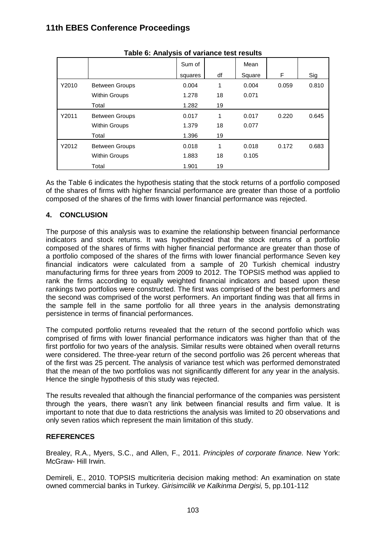|       |                       | Sum of  |    | Mean   |       |       |
|-------|-----------------------|---------|----|--------|-------|-------|
|       |                       | squares | df | Square | F     | Sig   |
| Y2010 | <b>Between Groups</b> | 0.004   | 1  | 0.004  | 0.059 | 0.810 |
|       | <b>Within Groups</b>  | 1.278   | 18 | 0.071  |       |       |
|       | Total                 | 1.282   | 19 |        |       |       |
| Y2011 | <b>Between Groups</b> | 0.017   | 1  | 0.017  | 0.220 | 0.645 |
|       | <b>Within Groups</b>  | 1.379   | 18 | 0.077  |       |       |
|       | Total                 | 1.396   | 19 |        |       |       |
| Y2012 | <b>Between Groups</b> | 0.018   | 1  | 0.018  | 0.172 | 0.683 |
|       | <b>Within Groups</b>  | 1.883   | 18 | 0.105  |       |       |
|       | Total                 | 1.901   | 19 |        |       |       |

| Table 6: Analysis of variance test results |  |  |  |  |
|--------------------------------------------|--|--|--|--|
|--------------------------------------------|--|--|--|--|

As the Table 6 indicates the hypothesis stating that the stock returns of a portfolio composed of the shares of firms with higher financial performance are greater than those of a portfolio composed of the shares of the firms with lower financial performance was rejected.

# **4. CONCLUSION**

The purpose of this analysis was to examine the relationship between financial performance indicators and stock returns. It was hypothesized that the stock returns of a portfolio composed of the shares of firms with higher financial performance are greater than those of a portfolio composed of the shares of the firms with lower financial performance Seven key financial indicators were calculated from a sample of 20 Turkish chemical industry manufacturing firms for three years from 2009 to 2012. The TOPSIS method was applied to rank the firms according to equally weighted financial indicators and based upon these rankings two portfolios were constructed. The first was comprised of the best performers and the second was comprised of the worst performers. An important finding was that all firms in the sample fell in the same portfolio for all three years in the analysis demonstrating persistence in terms of financial performances.

The computed portfolio returns revealed that the return of the second portfolio which was comprised of firms with lower financial performance indicators was higher than that of the first portfolio for two years of the analysis. Similar results were obtained when overall returns were considered. The three-year return of the second portfolio was 26 percent whereas that of the first was 25 percent. The analysis of variance test which was performed demonstrated that the mean of the two portfolios was not significantly different for any year in the analysis. Hence the single hypothesis of this study was rejected.

The results revealed that although the financial performance of the companies was persistent through the years, there wasn't any link between financial results and firm value. It is important to note that due to data restrictions the analysis was limited to 20 observations and only seven ratios which represent the main limitation of this study.

## **REFERENCES**

Brealey, R.A., Myers, S.C., and Allen, F., 2011. *Principles of corporate finance.* New York: McGraw- Hill Irwin.

Demireli, E., 2010. TOPSIS multicriteria decision making method: An examination on state owned commercial banks in Turkey. *Girisimcilik ve Kalkinma Dergisi,* 5, pp.101-112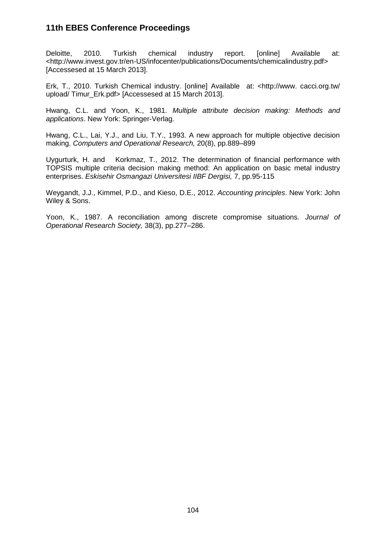Deloitte, 2010. Turkish chemical industry report. [online] Available at: <http://www.invest.gov.tr/en-US/infocenter/publications/Documents/chemicalindustry.pdf> [Accessesed at 15 March 2013].

Erk, T., 2010. Turkish Chemical industry. [online] Available at: <http://www. cacci.org.tw/ upload/ Timur\_Erk.pdf> [Accessesed at 15 March 2013].

Hwang, C.L. and Yoon, K., 1981. *Multiple attribute decision making: Methods and applications*. New York: Springer-Verlag.

Hwang, C.L., Lai, Y.J., and Liu, T.Y., 1993. A new approach for multiple objective decision making. *Computers and Operational Research,* 20(8), pp.889–899

Uygurturk, H. and Korkmaz, T., 2012. The determination of financial performance with TOPSIS multiple criteria decision making method: An application on basic metal industry enterprises. *Eskisehir Osmangazi Universitesi IIBF Dergisi,* 7, pp.95-115

Weygandt, J.J., Kimmel, P.D., and Kieso, D.E., 2012. *Accounting principles*. New York: John Wiley & Sons.

Yoon, K., 1987. A reconciliation among discrete compromise situations. *Journal of Operational Research Society,* 38(3), pp.277–286.